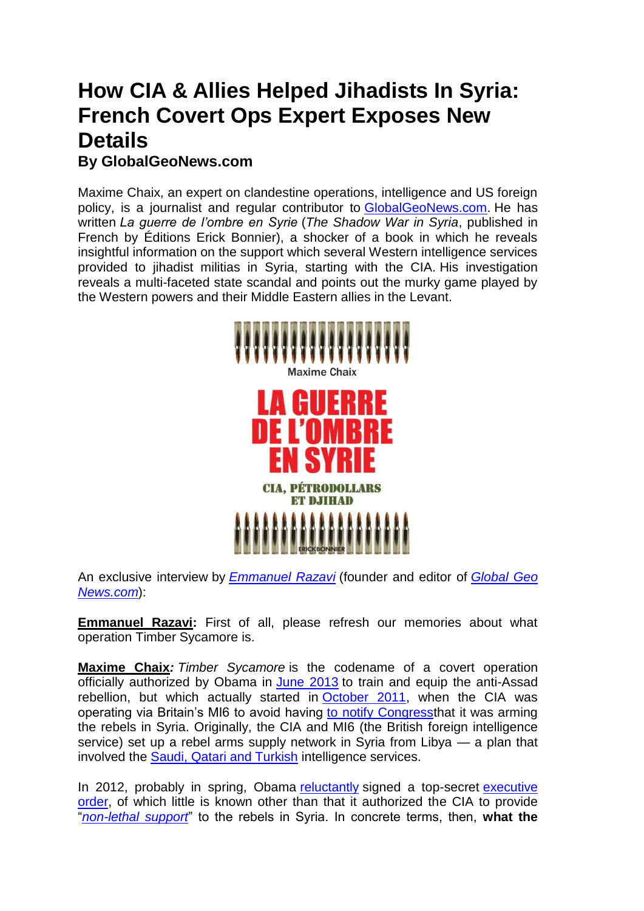## **How CIA & Allies Helped Jihadists In Syria: French Covert Ops Expert Exposes New Details By [GlobalGeoNews.com](http://maximechaix.info/?p=3821)**

Maxime Chaix, an expert on clandestine operations, intelligence and US foreign policy, is a journalist and regular contributor to [GlobalGeoNews.com.](http://www.globalgeonews.com/) He has written *[La guerre de l'ombre en Syrie](https://www.erickbonnier-editions.com/essais/guerre-de-l-ombre-en-syrie/)* (*The Shadow War in Syria*, published in French by Éditions Erick Bonnier), a shocker of a book in which he reveals insightful information on the support which several Western intelligence services provided to jihadist militias in Syria, starting with the CIA. His investigation reveals a multi-faceted state scandal and points out the murky game played by the Western powers and their Middle Eastern allies in the Levant.



An exclusive interview by *[Emmanuel Razavi](https://www.linkedin.com/in/emmanuel-joseph-razavi-88615aa4/)* (founder and editor of *[Global](http://www.globalgeonews.com/) Geo [News.com](http://www.globalgeonews.com/)*):

**Emmanuel Razavi:** First of all, please refresh our memories about what operation Timber Sycamore is.

**Maxime Chaix***: Timber Sycamore* is the codename of a covert operation officially authorized by Obama in [June 2013](http://archive.is/9Tt6P#selection-2597.0-2597.248) to train and equip the anti-Assad rebellion, but which actually started in [October 2011,](http://archive.is/tHlSo#selection-907.0-917.280) when the CIA was operating via Britain's MI6 to avoid having [to notify Congresst](http://archive.is/y4Bvf#selection-763.178-763.659)hat it was arming the rebels in Syria. Originally, the CIA and MI6 (the British foreign intelligence service) set up a rebel arms supply network in Syria from Libya — a plan that involved the [Saudi, Qatari and Turkish](http://archive.is/y4Bvf#selection-759.630-759.1010) intelligence services.

In 2012, probably in spring, Obama [reluctantly](http://archive.is/tHlSo#selection-923.0-1023.42) signed a top-secret executive [order,](http://archive.is/6GccS#selection-891.0-895.272) of which little is known other than that it authorized the CIA to provide ―*[non-lethal support](http://archive.is/4gJbT#selection-2245.0-2245.186)*‖ to the rebels in Syria. In concrete terms, then, **what the**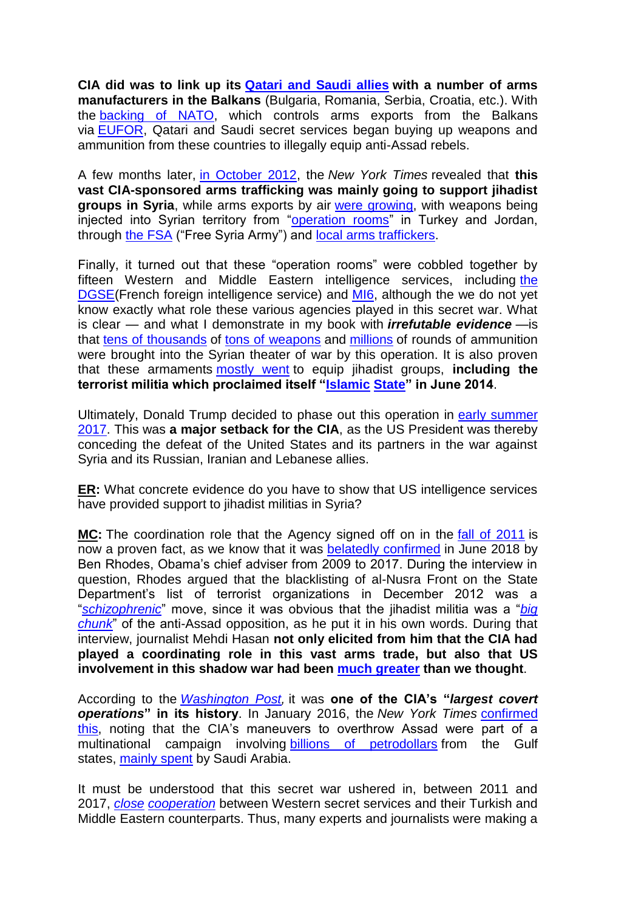**CIA did was to link up its [Qatari and Saudi allies](http://archive.is/1IJRK#selection-887.201-925.76) with a number of arms manufacturers in the Balkans** (Bulgaria, Romania, Serbia, Croatia, etc.). With the **backing of NATO**, which controls arms exports from the Balkans via [EUFOR,](http://archive.is/N77Ya#selection-6175.273-6175.705) Qatari and Saudi secret services began buying up weapons and ammunition from these countries to illegally equip anti-Assad rebels.

A few months later, [in October 2012,](http://archive.is/rjZLG#selection-1991.0-1999.179) the *New York Times* revealed that **this vast CIA-sponsored arms trafficking was mainly going to support jihadist groups in Syria**, while arms exports by air [were growing,](http://archive.is/1IJRK#selection-887.201-1005.75) with weapons being injected into Syrian territory from "operation rooms" in Turkey and Jordan, through [the FSA](http://archive.is/qSaYA#selection-2063.0-2093.232) ("Free Syria Army") and [local arms traffickers.](https://archive.fo/QeMJc#selection-3035.0-3065.414)

Finally, it turned out that these "operation rooms" were cobbled together by fifteen Western and Middle Eastern intelligence services, including [the](http://archive.is/uEVXC#selection-173.0-179.51)  [DGSE\(](http://archive.is/uEVXC#selection-173.0-179.51)French foreign intelligence service) and [MI6,](http://archive.is/c1u9Y#selection-2843.0-2885.125) although the we do not yet know exactly what role these various agencies played in this secret war. What is clear — and what I demonstrate in my book with *irrefutable evidence* —is that [tens of thousands](http://archive.is/1IJRK#selection-879.0-1241.136) of [tons of weapons](http://archive.is/1IJRK#selection-863.0-975.1) and [millions](http://archive.is/4gJbT#selection-2221.0-2253.216) of rounds of ammunition were brought into the Syrian theater of war by this operation. It is also proven that these armaments [mostly went](http://archive.is/1IJRK#selection-949.0-1001.214) to equip jihadist groups, **including the terrorist militia which proclaimed itself ["Islamic](http://archive.is/1IJRK#selection-971.0-975.1) [State"](http://archive.is/CYYqk#selection-901.60-913.154) in June 2014**.

Ultimately, Donald Trump decided to phase out this operation in [early summer](http://archive.is/RFdyb#selection-1185.0-1185.262)  [2017.](http://archive.is/RFdyb#selection-1185.0-1185.262) This was **a major setback for the CIA**, as the US President was thereby conceding the defeat of the United States and its partners in the war against Syria and its Russian, Iranian and Lebanese allies.

**ER:** What concrete evidence do you have to show that US intelligence services have provided support to jihadist militias in Syria?

**MC:** The coordination role that the Agency signed off on in the [fall of 2011](http://archive.is/tHlSo#selection-907.0-917.280) is now a proven fact, as we know that it was [belatedly confirmed](http://archive.is/XAtV2#selection-1383.0-1409.5) in June 2018 by Ben Rhodes, Obama's chief adviser from 2009 to 2017. During the interview in question, Rhodes argued that the blacklisting of al-Nusra Front on the State Department's list of terrorist organizations in December 2012 was a ―*[schizophrenic](http://archive.is/XAtV2#selection-1413.59-1413.430)*‖ move, since it was obvious that the jihadist militia was a ―*[big](http://archive.is/XAtV2#selection-1413.257-1413.266)  [chunk](http://archive.is/XAtV2#selection-1413.257-1413.266)*‖ of the anti-Assad opposition, as he put it in his own words. During that interview, journalist Mehdi Hasan **not only elicited from him that the CIA had played a coordinating role in this vast arms trade, but also that US involvement in this shadow war had been [much greater](http://archive.is/XAtV2#selection-1349.575-1409.5) than we thought**.

According to the *[Washington Post,](http://archive.is/IQnCg#selection-1561.176-1561.218)* it was **one of the CIA's "***largest covert operations***" in its history**. In January 2016, the *New York Times* [confirmed](http://archive.is/4gJbT#selection-2147.0-2253.216)  [this,](http://archive.is/4gJbT#selection-2147.0-2253.216) noting that the CIA's maneuvers to overthrow Assad were part of a multinational campaign involving [billions of petrodollars](http://archive.is/4gJbT#selection-2147.0-2163.201) from the Gulf states, [mainly spent](http://archive.is/4gJbT#selection-2159.0-2159.302) by Saudi Arabia.

It must be understood that this secret war ushered in, between 2011 and 2017, *[close](http://archive.is/BdM4u#selection-357.0-650.0) [cooperation](http://archive.is/ROgv8#selection-881.0-1041.228)* between Western secret services and their Turkish and Middle Eastern counterparts. Thus, many experts and journalists were making a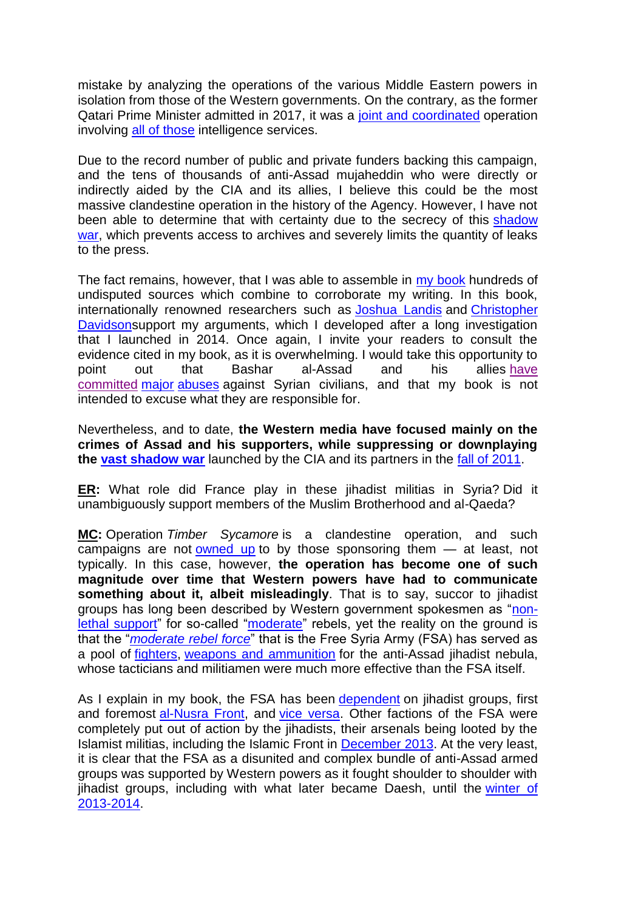mistake by analyzing the operations of the various Middle Eastern powers in isolation from those of the Western governments. On the contrary, as the former Qatari Prime Minister admitted in 2017, it was a [joint and coordinated](http://archive.is/BdM4u#selection-611.0-631.274) operation involving [all of those](http://archive.is/qSaYA#selection-2063.0-2093.232) intelligence services.

Due to the record number of public and private funders backing this campaign, and the tens of thousands of anti-Assad mujaheddin who were directly or indirectly aided by the CIA and its allies, I believe this could be the most massive clandestine operation in the history of the Agency. However, I have not been able to determine that with certainty due to the secrecy of this shadow [war,](https://www.erickbonnier-editions.com/essais/guerre-de-l-ombre-en-syrie/) which prevents access to archives and severely limits the quantity of leaks to the press.

The fact remains, however, that I was able to assemble in [my book](https://www.erickbonnier-editions.com/essais/guerre-de-l-ombre-en-syrie/) hundreds of undisputed sources which combine to corroborate my writing. In this book, internationally renowned researchers such as [Joshua Landis](http://archive.is/uM6wz) and [Christopher](http://archive.is/3LpMH)  [Davidsons](http://archive.is/3LpMH)upport my arguments, which I developed after a long investigation that I launched in 2014. Once again, I invite your readers to consult the evidence cited in my book, as it is overwhelming. I would take this opportunity to point out that Bashar al-Assad and his allies [have](http://archive.is/z5V6k#selection-3265.0-3307.2) [committed](http://archive.is/z5V6k#selection-3265.0-3307.2) [major](http://archive.is/SJlOe#selection-575.0-595.508) [abuses](http://archive.is/DJXYm) against Syrian civilians, and that my book is not intended to excuse what they are responsible for.

Nevertheless, and to date, **the Western media have focused mainly on the crimes of Assad and his supporters, while suppressing or downplaying the [vast shadow war](https://www.erickbonnier-editions.com/essais/guerre-de-l-ombre-en-syrie/)** launched by the CIA and its partners in the [fall of 2011.](http://archive.is/tHlSo#selection-907.0-917.280)

**ER:** What role did France play in these jihadist militias in Syria? Did it unambiguously support members of the Muslim Brotherhood and al-Qaeda?

**MC:** Operation *Timber Sycamore* is a clandestine operation, and such campaigns are not [owned up](http://archive.is/2Z0Sb#selection-261.33-261.422) to by those sponsoring them — at least, not typically. In this case, however, **the operation has become one of such magnitude over time that Western powers have had to communicate something about it, albeit misleadingly**. That is to say, succor to jihadist groups has long been described by Western government spokesmen as "nonlethal support" for so-called "moderate" rebels, yet the reality on the ground is that the "*[moderate rebel force](http://archive.is/D1zFe#selection-965.279-965.559)*" that is the Free Syria Army (FSA) has served as a pool of [fighters,](http://archive.is/D1zFe#selection-965.437-965.460) [weapons and ammunition](http://archive.is/D1zFe#selection-965.465-965.478) for the anti-Assad jihadist nebula, whose tacticians and militiamen were much more effective than the FSA itself.

As I explain in my book, the FSA has been [dependent](http://archive.is/lZWWW#selection-2329.0-2341.142) on jihadist groups, first and foremost [al-Nusra Front,](http://archive.is/aaYk0#selection-313.0-319.1182) and [vice versa.](http://archive.is/aaYk0#selection-319.957-319.1182) Other factions of the FSA were completely put out of action by the jihadists, their arsenals being looted by the Islamist militias, including the Islamic Front in [December 2013.](http://archive.is/Bqiq1#selection-2079.219-2079.351) At the very least, it is clear that the FSA as a disunited and complex bundle of anti-Assad armed groups was supported by Western powers as it fought shoulder to shoulder with jihadist groups, including with what later became Daesh, until the [winter of](http://archive.is/zszpx#selection-2541.0-2547.427)  [2013-2014.](http://archive.is/zszpx#selection-2541.0-2547.427)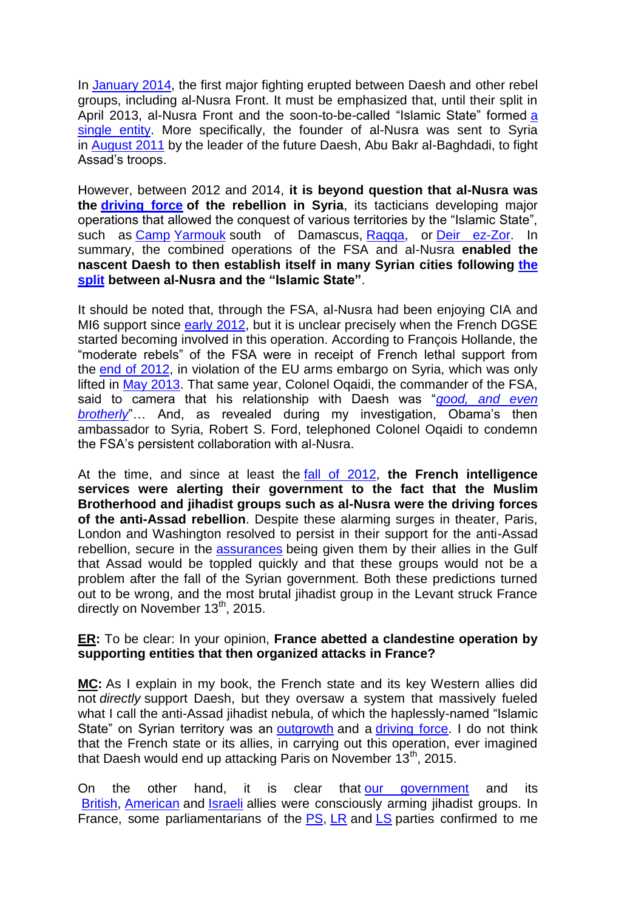In [January 2014,](http://archive.is/U0g0z#selection-1399.0-1405.23) the first major fighting erupted between Daesh and other rebel groups, including al-Nusra Front. It must be emphasized that, until their split in April 2013, al-Nusr[a](http://archive.is/zszpx#selection-2779.0-2845.260) Front and the soon-to-be-called "Islamic State" formed a [single entity.](http://archive.is/zszpx#selection-2779.0-2845.260) More specifically, the founder of al-Nusra was sent to Syria in [August 2011](https://books.google.fr/books?id=z8xwDwAAQBAJ&pg=PT135&dq=kepel+jolani+ao%C3%BBt+2011&hl=fr&sa=X&ved=0ahUKEwiW7tSv8-rgAhW06uAKHZuDAuwQ6AEIKDAA#v=onepage&q=kepel%20jolani%20ao%C3%BBt%202011&f=false) by the leader of the future Daesh, Abu Bakr al-Baghdadi, to fight Assad's troops.

However, between 2012 and 2014, **it is beyond question that al-Nusra was the [driving force](http://archive.is/Vu3dx#selection-435.0-451.219) of the rebellion in Syria**, its tacticians developing major operations that allowed the conquest of various territories by the "Islamic State". such as [Camp](http://archive.is/PfcF0#selection-2339.0-2357.34) [Yarmouk](http://archive.is/PfcF0#selection-3751.0-3847.498) south of Damascus, [Raqqa,](http://archive.is/PfcF0#selection-2451.0-2747.399) or [Deir ez-Zor.](http://archive.is/PfcF0#selection-4003.0-4087.447) In summary, the combined operations of the FSA and al-Nusra **enabled the nascent Daesh to then establish itself in many Syrian cities following [the](http://archive.is/zszpx#selection-2779.0-2845.260)  [split](http://archive.is/zszpx#selection-2779.0-2845.260) between al-Nusra and the "Islamic State"**.

It should be noted that, through the FSA, al-Nusra had been enjoying CIA and MI6 support since [early 2012,](http://archive.is/1IJRK#selection-971.0-1005.75) but it is unclear precisely when the French DGSE started becoming involved in this operation. According to François Hollande, the "moderate rebels" of the FSA were in receipt of French lethal support from the [end of 2012,](http://archive.is/uEVXC#selection-147.0-155.2) in violation of the EU arms embargo on Syria, which was only lifted in [May 2013.](http://archive.is/uEVXC#selection-153.0-155.2) That same year, Colonel Oqaidi, the commander of the FSA, said to camera that his relationship with Daesh was "good, and even **[brotherly](http://archive.is/AXz2C#selection-255.0-259.387)**"... And, as revealed during my investigation, Obama's then ambassador to Syria, Robert S. Ford, telephoned Colonel Oqaidi to condemn the FSA's persistent collaboration with al-Nusra.

At the time, and since at least the [fall of 2012,](https://books.google.fr/books?id=EWlADQAAQBAJ&pg=PT122&lpg=PT122&dq=d%C3%A8s+l%27automne+2012,+la+Direction+de+la+prospective+du+minist%C3%A8re&source=bl&ots=jvoVrWAbTy&sig=48wZn9n545ckU-F39NAtL2HWdAg&hl=fr&sa=X&ved=0ahUKEwiGkMWGqJPcAhXISBQKHYKVAqYQ6AEILzAB#v=onepage&q=d%C3%A8s%20l) **the French intelligence services were alerting their government to the fact that the Muslim Brotherhood and jihadist groups such as al-Nusra were the driving forces of the anti-Assad rebellion**. Despite these alarming surges in theater, Paris, London and Washington resolved to persist in their support for the anti-Assad rebellion, secure in the [assurances](https://books.google.fr/books?id=EWlADQAAQBAJ&printsec=frontcover&dq=sur+le+terrain,+ce+sont+les+plus+efficaces+malbrunot+%C3%A9mirs&hl=fr&sa=X&ved=0ahUKEwiinKT3-OrgAhVaAWMBHa5BCdkQ6AEIMDAB#v=onepage&q=sur%20le%20terrain%2C%20ce%20sont%20les%20plus%20efficaces&f=false) being given them by their allies in the Gulf that Assad would be toppled quickly and that these groups would not be a problem after the fall of the Syrian government. Both these predictions turned out to be wrong, and the most brutal jihadist group in the Levant struck France directly on November  $13<sup>th</sup>$ , 2015.

## **ER:** To be clear: In your opinion, **France abetted a clandestine operation by supporting entities that then organized attacks in France?**

**MC:** As I explain in my book, the French state and its key Western allies did not *directly* support Daesh, but they oversaw a system that massively fueled what I call the anti-Assad jihadist nebula, of which the haplessly-named "Islamic State" on Syrian territory was an [outgrowth](https://books.google.fr/books?id=z8xwDwAAQBAJ&pg=PT135&dq=kepel+jolani+ao%C3%BBt+2011&hl=fr&sa=X&ved=0ahUKEwiW7tSv8-rgAhW06uAKHZuDAuwQ6AEIKDAA#v=onepage&q=kepel%20jolani%20ao%C3%BBt%202011&f=false) and a [driving force.](http://archive.is/Vu3dx#selection-435.0-451.219) I do not think that the French state or its allies, in carrying out this operation, ever imagined that Daesh would end up attacking Paris on November  $13<sup>th</sup>$ , 2015.

On the other hand, it is clear that [our government](https://books.google.fr/books?id=EWlADQAAQBAJ&pg=PT122&lpg=PT122&dq=d%C3%A8s+l%27automne+2012,+la+Direction+de+la+prospective+du+minist%C3%A8re&source=bl&ots=jvoVrWAbTy&sig=48wZn9n545ckU-F39NAtL2HWdAg&hl=fr&sa=X&ved=0ahUKEwiGkMWGqJPcAhXISBQKHYKVAqYQ6AEILzAB#v=onepage&q=d%C3%A8s%20l) and its [British,](http://archive.is/gW73Q#selection-2287.0-2315.270) [American](http://archive.is/XAtV2#selection-1413.59-1413.430) and [Israeli](http://archive.is/BcM35#selection-785.0-805.382) allies were consciously arming jihadist groups. In France, some parliamentarians of the [PS,](http://archive.is/5eRhU#selection-2107.76-2119.3) [LR](http://archive.is/22OVZ#selection-805.18-835.3) and [LS](http://archive.is/22OVZ#selection-853.0-883.577) parties confirmed to me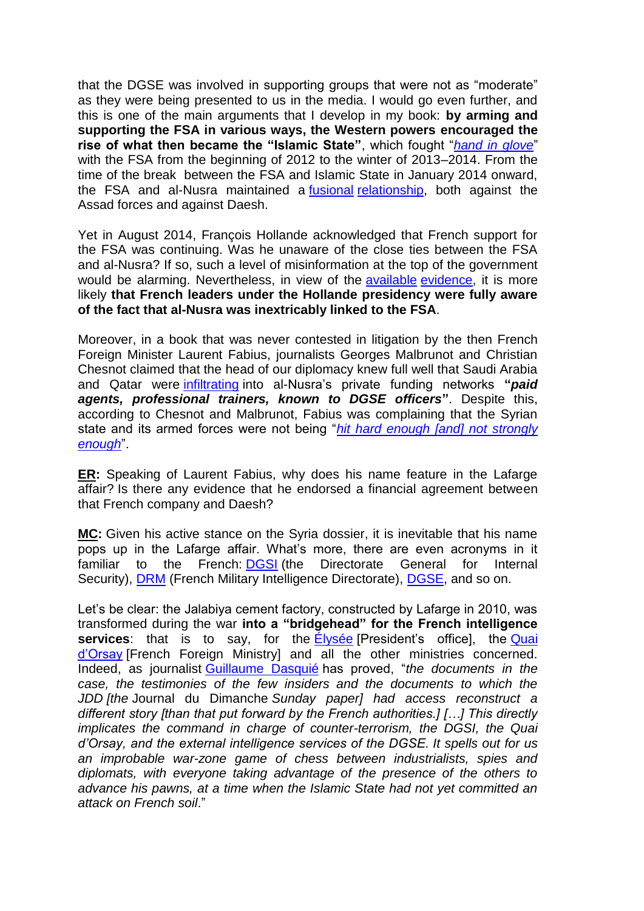that the DGSE was involved in supporting groups that were not as "moderate" as they were being presented to us in the media. I would go even further, and this is one of the main arguments that I develop in my book: **by arming and supporting the FSA in various ways, the Western powers encouraged the**  rise of what then became the "Islamic State", which fought "[hand in glove](http://archive.is/zszpx#selection-2541.0-2547.427)" with the FSA from the beginning of 2012 to the winter of 2013–2014. From the time of the break between the FSA and Islamic State in January 2014 onward, the FSA and al-Nusra maintained a [fusional](http://archive.is/FwJod#selection-1437.176-1437.371) [relationship,](http://archive.is/zszpx#selection-2597.0-2609.1013) both against the Assad forces and against Daesh.

Yet in August 2014, François Hollande acknowledged that French support for the FSA was continuing. Was he unaware of the close ties between the FSA and al-Nusra? If so, such a level of misinformation at the top of the government would be alarming. Nevertheless, in view of the [available](https://books.google.fr/books?id=EWlADQAAQBAJ&pg=PT122&lpg=PT122&dq=d%C3%A8s+l%27automne+2012,+la+Direction+de+la+prospective+du+minist%C3%A8re&source=bl&ots=jvoVrWAbTy&sig=48wZn9n545ckU-F39NAtL2HWdAg&hl=fr&sa=X&ved=0ahUKEwiGkMWGqJPcAhXISBQKHYKVAqYQ6AEILzAB#v=onepage&q=d%C3%A8s%20l) [evidence,](http://archive.is/QtcTc#selection-977.2-1141.156) it is more likely **that French leaders under the Hollande presidency were fully aware of the fact that al-Nusra was inextricably linked to the FSA**.

Moreover, in a book that was never contested in litigation by the then French Foreign Minister Laurent Fabius, journalists Georges Malbrunot and Christian Chesnot claimed that the head of our diplomacy knew full well that Saudi Arabia and Qatar were [infiltrating](http://archive.is/KN20F#selection-1167.0-1167.261) into al-Nusra's private funding networks **"***paid agents, professional trainers, known to DGSE officers***"**. Despite this, according to Chesnot and Malbrunot, Fabius was complaining that the Syrian state and its armed forces were not being "*hit hard enough [and] not strongly [enough](https://books.google.fr/books?id=EWlADQAAQBAJ&pg=PT122&lpg=PT122&dq=d%C3%A8s+l%27automne+2012,+la+Direction+de+la+prospective+du+minist%C3%A8re&source=bl&ots=jvoVrWAbTy&sig=48wZn9n545ckU-F39NAtL2HWdAg&hl=fr&sa=X&ved=0ahUKEwiGkMWGqJPcAhXISBQKHYKVAqYQ6AEILzAB#v=onepage&q=assez%20dur%20assez%20fort&f=false)*‖.

**ER:** Speaking of Laurent Fabius, why does his name feature in the Lafarge affair? Is there any evidence that he endorsed a financial agreement between that French company and Daesh?

**MC:** Given his active stance on the Syria dossier, it is inevitable that his name pops up in the Lafarge affair. What's more, there are even acronyms in it familiar to the French: [DGSI](http://archive.is/bVMBA#selection-2385.154-2385.161) (the Directorate General for Internal Security), [DRM](http://archive.is/fnPNE#selection-2445.0-2451.2) (French Military Intelligence Directorate), [DGSE,](http://archive.is/bVMBA#selection-2385.227-2385.234) and so on.

Let's be clear: the Jalabiya cement factory, constructed by Lafarge in 2010, was transformed during the war **into a "bridgehead" for the French intelligence services**: that is to say, for the Elysée [President's office], the Quai [d'Orsay](http://archive.is/bVMBA#selection-2385.166-2385.178) [French Foreign Ministry] and all the other ministries concerned. Indeed, as journalist [Guillaume Dasquié](http://archive.is/bVMBA#selection-2379.0-2385.484) has proved, "the *documents in the case, the testimonies of the few insiders and the documents to which the JDD [the* Journal du Dimanche *Sunday paper] had access reconstruct a different story [than that put forward by the French authorities.] […] This directly implicates the command in charge of counter-terrorism, the DGSI, the Quai d'Orsay, and the external intelligence services of the DGSE. It spells out for us an improbable war-zone game of chess between industrialists, spies and diplomats, with everyone taking advantage of the presence of the others to advance his pawns, at a time when the Islamic State had not yet committed an attack on French soil*.‖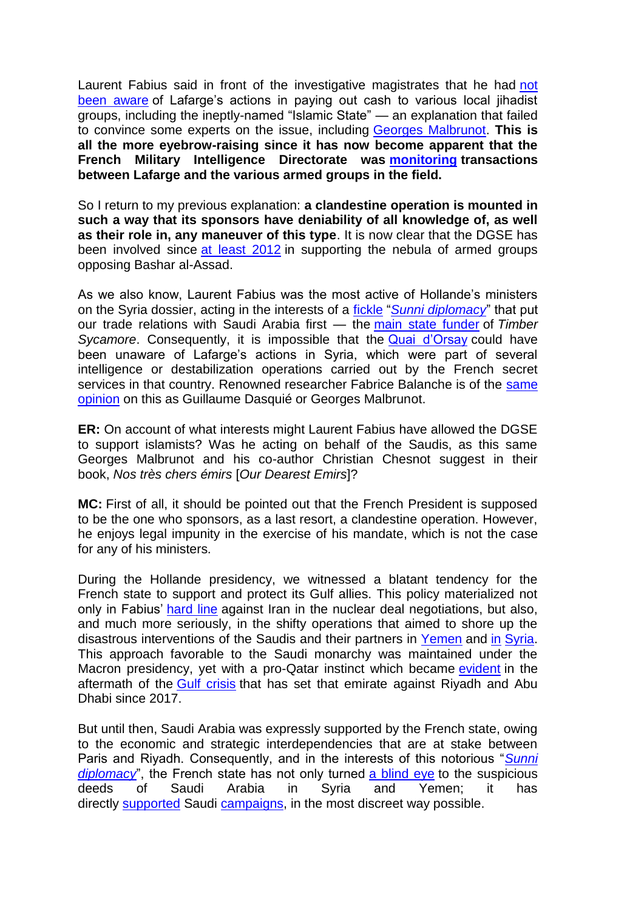Laurent Fabius said in front of the investigative magistrates that he had [not](http://archive.is/reMQ4#selection-2305.0-2317.28)  [been aware](http://archive.is/reMQ4#selection-2305.0-2317.28) of Lafarge's actions in paying out cash to various local jihadist groups, including the ineptly-named "Islamic State" — an explanation that failed to convince some experts on the issue, including [Georges Malbrunot.](http://archive.is/MJeGK#selection-3593.0-3593.238) **This is all the more eyebrow-raising since it has now become apparent that the French Military Intelligence Directorate was [monitoring](http://archive.is/fnPNE#selection-2379.0-2451.2) transactions between Lafarge and the various armed groups in the field.**

So I return to my previous explanation: **a clandestine operation is mounted in such a way that its sponsors have deniability of all knowledge of, as well as their role in, any maneuver of this type**. It is now clear that the DGSE has been involved since [at least 2012](http://archive.is/uEVXC#selection-147.0-155.2) in supporting the nebula of armed groups opposing Bashar al-Assad.

As we also know, Laurent Fabius was the most active of Hollande's ministers on the Syria dossier, acting in the interests of a *[fickle](http://archive.is/KN20F#selection-1159.660-1159.875) "[Sunni diplomacy](http://archive.is/KN20F#selection-1159.175-1159.875)*" that put our trade relations with Saudi Arabia first — the [main state funder](http://archive.is/4gJbT#selection-2159.0-2221.348) of *Timber Sycamore*. Consequently, it is impossible that the **[Quai d'Orsay](http://archive.is/bVMBA#selection-2693.0-2747.368) could** have been unaware of Lafarge's actions in Syria, which were part of several intelligence or destabilization operations carried out by the French secret services in that country. Renowned researcher Fabrice Balanche is of the same [opinion](http://archive.is/TRCuS#selection-5063.0-5069.330) on this as Guillaume Dasquié or Georges Malbrunot.

**ER:** On account of what interests might Laurent Fabius have allowed the DGSE to support islamists? Was he acting on behalf of the Saudis, as this same Georges Malbrunot and his co-author Christian Chesnot suggest in their book, *Nos très chers émirs* [*Our Dearest Emirs*]?

**MC:** First of all, it should be pointed out that the French President is supposed to be the one who sponsors, as a last resort, a clandestine operation. However, he enjoys legal impunity in the exercise of his mandate, which is not the case for any of his ministers.

During the Hollande presidency, we witnessed a blatant tendency for the French state to support and protect its Gulf allies. This policy materialized not only in Fabius' [hard line](http://archive.is/H5KZ0) against Iran in the nuclear deal negotiations, but also, and much more seriously, in the shifty operations that aimed to shore up the disastrous interventions of the Saudis and their partners in [Yemen](http://archive.is/de7xb#selection-1961.0-2189.31) and [in](http://archive.is/ROgv8#selection-887.0-887.249) [Syria.](http://archive.is/qSaYA#selection-2071.0-2071.403) This approach favorable to the Saudi monarchy was maintained under the Macron presidency, yet with a pro-Qatar instinct which became [evident](http://archive.is/Bw3Ru) in the aftermath of the [Gulf crisis](http://archive.is/w8DBN) that has set that emirate against Riyadh and Abu Dhabi since 2017.

But until then, Saudi Arabia was expressly supported by the French state, owing to the economic and strategic interdependencies that are at stake between Paris and Riyadh. Consequently, and in the interests of this notorious "**Sunni** *[diplomacy](http://archive.is/KN20F#selection-1159.394-1159.875)*<sup>"</sup>, the French state has not only turned [a blind eye](http://archive.is/bVMBA#selection-2699.215-2699.604) to the suspicious deeds of Saudi Arabia in Syria and Yemen; it has directly [supported](http://archive.is/qSaYA#selection-2071.0-2071.403) Saudi [campaigns,](http://archive.is/de7xb#selection-1961.0-2189.31) in the most discreet way possible.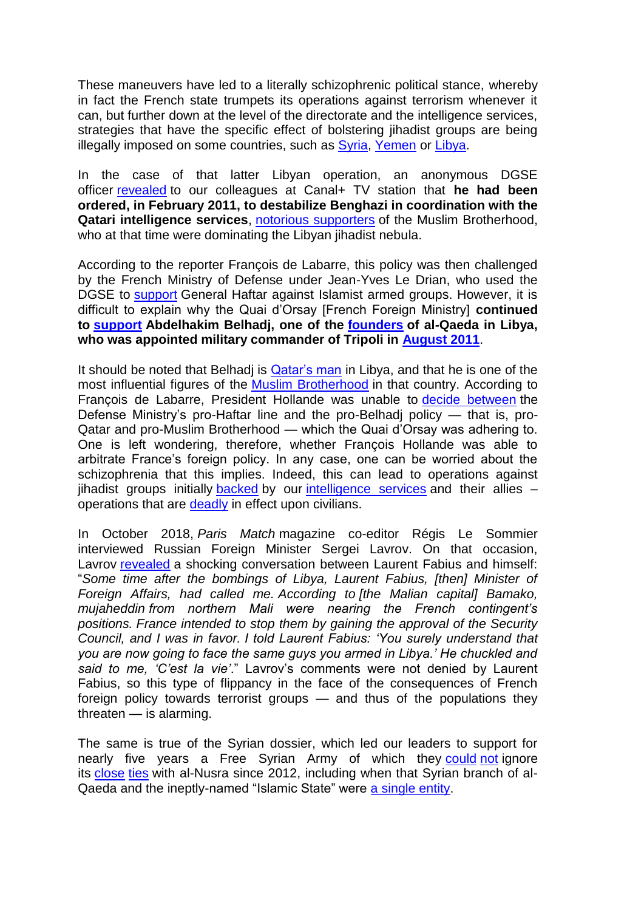These maneuvers have led to a literally schizophrenic political stance, whereby in fact the French state trumpets its operations against terrorism whenever it can, but further down at the level of the directorate and the intelligence services, strategies that have the specific effect of bolstering jihadist groups are being illegally imposed on some countries, such as [Syria,](http://archive.is/3c9kt#selection-2177.0-2247.478) [Yemen](http://archive.is/de7xb#selection-2267.0-2517.431) or [Libya.](http://archive.is/VEl81#selection-1427.122-1463.3)

In the case of that latter Libyan operation, an anonymous DGSE officer [revealed](http://archive.is/VEl81#selection-1427.122-1463.3) to our colleagues at Canal+ TV station that **he had been ordered, in February 2011, to destabilize Benghazi in coordination with the Qatari intelligence services**, [notorious supporters](http://archive.is/nKWUH#selection-1733.0-1733.1235) of the Muslim Brotherhood, who at that time were dominating the Libyan jihadist nebula.

According to the reporter François de Labarre, this policy was then challenged by the French Ministry of Defense under Jean-Yves Le Drian, who used the DGSE to [support](http://archive.is/nKWUH#selection-1709.179-1709.335) General Haftar against Islamist armed groups. However, it is difficult to explain why the Quai d'Orsay [French Foreign Ministry] **continued to [support](http://archive.is/nKWUH#selection-1709.32-1709.179) Abdelhakim Belhadj, one of the [founders](http://archive.is/gttlW#selection-1209.0-1217.547) of al-Qaeda in Libya, who was appointed military commander of Tripoli in [August 2011](http://archive.is/PpPI#selection-903.1-1069.257)**.

It should be noted that Belhadj is [Qatar's man](http://archive.is/nKWUH#selection-1733.180-1733.691) in Libya, and that he is one of the most influential figures of the [Muslim Brotherhood](http://archive.is/nKWUH#selection-1733.115-1733.1235) in that country. According to François de Labarre, President Hollande was unable to [decide between](http://archive.is/nKWUH#selection-1709.0-1709.383) the Defense Ministry's pro-Haftar line and the pro-Belhadj policy — that is, pro-Qatar and pro-Muslim Brotherhood — which the Quai d'Orsay was adhering to. One is left wondering, therefore, whether François Hollande was able to arbitrate France's foreign policy. In any case, one can be worried about the schizophrenia that this implies. Indeed, this can lead to operations against jihadist groups initially [backed](http://archive.is/nKWUH#selection-1733.0-1733.1235) by our [intelligence services](http://archive.is/3c9kt#selection-2177.0-2247.478) and their allies – operations that are **[deadly](http://archive.is/C2lFp#selection-653.0-657.200)** in effect upon civilians.

In October 2018, *Paris Match* magazine co-editor Régis Le Sommier interviewed Russian Foreign Minister Sergei Lavrov. On that occasion, Lavrov [revealed](http://archive.is/UQTgu#selection-1729.1176-1729.1671) a shocking conversation between Laurent Fabius and himself: ―*Some time after the bombings of Libya, Laurent Fabius, [then] Minister of Foreign Affairs, had called me. According to [the Malian capital] Bamako, mujaheddin from northern Mali were nearing the French contingent's positions. France intended to stop them by gaining the approval of the Security Council, and I was in favor. I told Laurent Fabius: 'You surely understand that you are now going to face the same guys you armed in Libya.' He chuckled and*  said to me, 'C'est la vie'." Lavrov's comments were not denied by Laurent Fabius, so this type of flippancy in the face of the consequences of French foreign policy towards terrorist groups — and thus of the populations they threaten — is alarming.

The same is true of the Syrian dossier, which led our leaders to support for nearly five years a Free Syrian Army of which they [could](https://books.google.fr/books?id=EWlADQAAQBAJ&pg=PT122&lpg=PT122&dq=d%C3%A8s+l%27automne+2012,+la+Direction+de+la+prospective+du+minist%C3%A8re&source=bl&ots=jvoVrWAbTy&sig=48wZn9n545ckU-F39NAtL2HWdAg&hl=fr&sa=X&ved=0ahUKEwiGkMWGqJPcAhXISBQKHYKVAqYQ6AEILzAB#v=onepage&q=d%C3%A8s%20l) [not](http://archive.is/QtcTc#selection-977.2-1141.156) ignore its [close](http://archive.is/aaYk0#selection-313.0-319.1182) [ties](http://archive.is/D1zFe#selection-965.279-965.559) with al-Nusra since 2012, including when that Syrian branch of alQaeda and the ineptly-named "Islamic State" were [a single entity.](http://archive.is/zszpx#selection-2779.0-2845.260)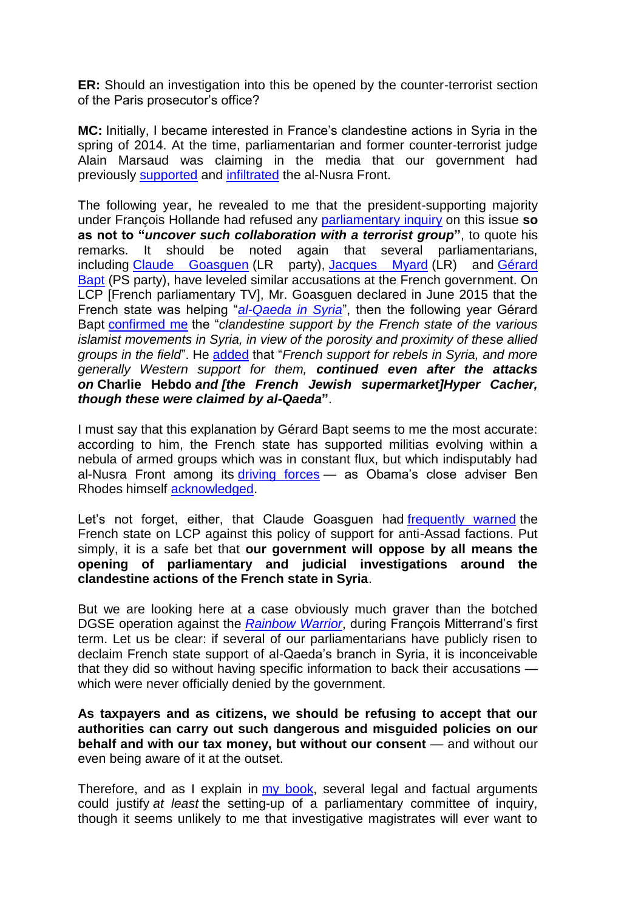**ER:** Should an investigation into this be opened by the counter-terrorist section of the Paris prosecutor's office?

**MC:** Initially, I became interested in France's clandestine actions in Syria in the spring of 2014. At the time, parliamentarian and former counter-terrorist judge Alain Marsaud was claiming in the media that our government had previously [supported](http://archive.is/czrmz#selection-703.0-721.261) and [infiltrated](http://archive.is/czrmz#selection-649.120-673.4) the al-Nusra Front.

The following year, he revealed to me that the president-supporting majority under François Hollande had refused any [parliamentary inquiry](http://archive.is/22OVZ#selection-805.18-883.577) on this issue **so as not to "***uncover such collaboration with a terrorist group***"**, to quote his remarks. It should be noted again that several parliamentarians, including [Claude Goasguen](http://archive.is/3c9kt#selection-2177.0-2247.478) (LR party), [Jacques Myard](http://archive.is/3c9kt#selection-2589.0-2589.460) (LR) and Gérard [Bapt](http://archive.is/5eRhU#selection-2107.76-2119.3) (PS party), have leveled similar accusations at the French government. On LCP [French parliamentary TV], Mr. Goasguen declared in June 2015 that the French state was helping "[al-Qaeda in Syria](http://archive.is/3c9kt)", then the following year Gérard Bapt [confirmed me](http://archive.is/5eRhU#selection-2107.76-2119.3) the "*clandestine support by the French state of the various islamist movements in Syria, in view of the porosity and proximity of these allied groups in the field*". He [added](http://archive.is/5eRhU#selection-2107.76-2119.3) that "*French support for rebels in Syria, and more generally Western support for them, continued even after the attacks on* **Charlie Hebdo** *and [the French Jewish supermarket]Hyper Cacher, though these were claimed by al-Qaeda***"**.

I must say that this explanation by Gérard Bapt seems to me the most accurate: according to him, the French state has supported militias evolving within a nebula of armed groups which was in constant flux, but which indisputably had al-Nusra Front among its [driving forces](http://archive.is/Vu3dx#selection-435.0-451.219) - as Obama's close adviser Ben Rhodes himself [acknowledged.](http://archive.is/XAtV2#selection-1413.257-1413.266)

Let's not forget, either, that Claude Goasguen had [frequently warned](http://archive.is/3c9kt#selection-2583.0-2583.506) the French state on LCP against this policy of support for anti-Assad factions. Put simply, it is a safe bet that **our government will oppose by all means the opening of parliamentary and judicial investigations around the clandestine actions of the French state in Syria**.

But we are looking here at a case obviously much graver than the botched DGSE operation against the *[Rainbow Warrior](http://archive.is/NNizL)*, during François Mitterrand's first term. Let us be clear: if several of our parliamentarians have publicly risen to declaim French state support of al-Qaeda's branch in Syria, it is inconceivable that they did so without having specific information to back their accusations which were never officially denied by the government.

**As taxpayers and as citizens, we should be refusing to accept that our authorities can carry out such dangerous and misguided policies on our behalf and with our tax money, but without our consent** — and without our even being aware of it at the outset.

Therefore, and as I explain in [my book,](https://www.erickbonnier-editions.com/essais/guerre-de-l-ombre-en-syrie/) several legal and factual arguments could justify *at least* the setting-up of a parliamentary committee of inquiry, though it seems unlikely to me that investigative magistrates will ever want to